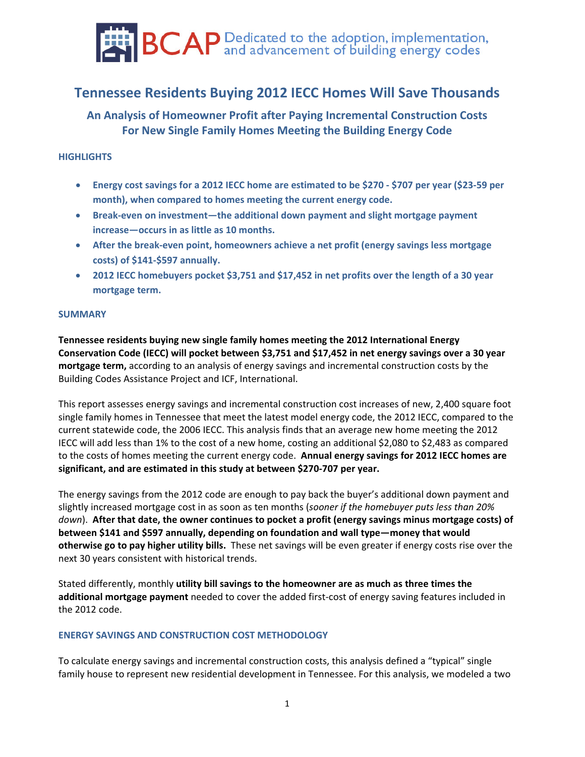

# **Tennessee Residents Buying 2012 IECC Homes Will Save Thousands**

**An Analysis of Homeowner Profit after Paying Incremental Construction Costs For New Single Family Homes Meeting the Building Energy Code**

# **HIGHLIGHTS**

- Energy cost savings for a 2012 IECC home are estimated to be \$270 \$707 per year (\$23-59 per **month), when compared to homes meeting the current energy code.**
- **Break‐even on investment—the additional down payment and slight mortgage payment increase—occurs in as little as 10 months.**
- **After the break‐even point, homeowners achieve a net profit (energy savings less mortgage costs) of \$141‐\$597 annually.**
- **2012 IECC homebuyers pocket \$3,751 and \$17,452 in net profits over the length of a 30 year mortgage term.**

# **SUMMARY**

**Tennessee residents buying new single family homes meeting the 2012 International Energy Conservation Code (IECC) will pocket between \$3,751 and \$17,452 in net energy savings over a 30 year mortgage term,** according to an analysis of energy savings and incremental construction costs by the Building Codes Assistance Project and ICF, International.

This report assesses energy savings and incremental construction cost increases of new, 2,400 square foot single family homes in Tennessee that meet the latest model energy code, the 2012 IECC, compared to the current statewide code, the 2006 IECC. This analysis finds that an average new home meeting the 2012 IECC will add less than 1% to the cost of a new home, costing an additional \$2,080 to \$2,483 as compared to the costs of homes meeting the current energy code. **Annual energy savings for 2012 IECC homes are significant, and are estimated in this study at between \$270‐707 per year.** 

The energy savings from the 2012 code are enough to pay back the buyer's additional down payment and slightly increased mortgage cost in as soon as ten months (*sooner if the homebuyer puts less than 20% down*). **After that date, the owner continues to pocket a profit (energy savings minus mortgage costs) of between \$141 and \$597 annually, depending on foundation and wall type—money that would otherwise go to pay higher utility bills.** These net savings will be even greater if energy costs rise over the next 30 years consistent with historical trends.

Stated differently, monthly **utility bill savings to the homeowner are as much as three times the additional mortgage payment** needed to cover the added first‐cost of energy saving features included in the 2012 code.

# **ENERGY SAVINGS AND CONSTRUCTION COST METHODOLOGY**

To calculate energy savings and incremental construction costs, this analysis defined a "typical" single family house to represent new residential development in Tennessee. For this analysis, we modeled a two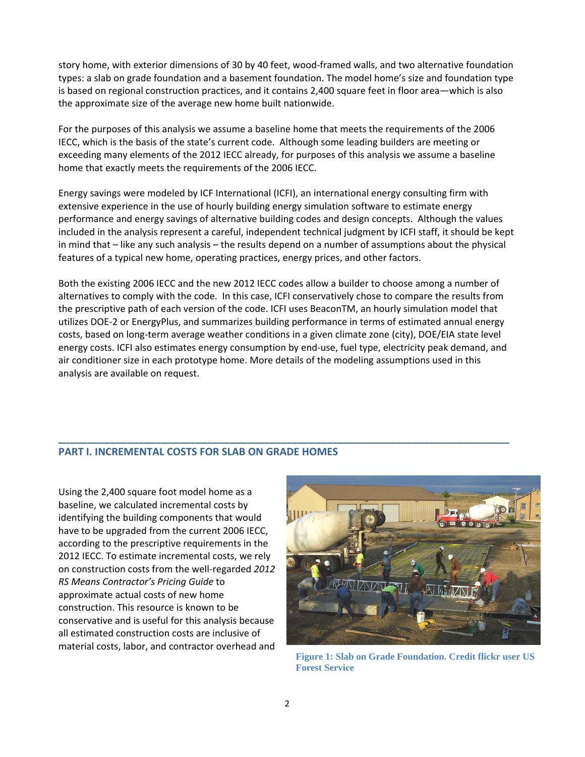story home, with exterior dimensions of 30 by 40 feet, wood-framed walls, and two alternative foundation types: a slab on grade foundation and a basement foundation. The model home's size and foundation type is based on regional construction practices, and it contains 2,400 square feet in floor area—which is also the approximate size of the average new home built nationwide.

For the purposes of this analysis we assume a baseline home that meets the requirements of the 2006 IECC, which is the basis of the state's current code. Although some leading builders are meeting or exceeding many elements of the 2012 IECC already, for purposes of this analysis we assume a baseline home that exactly meets the requirements of the 2006 IECC.

Energy savings were modeled by ICF International (ICFI), an international energy consulting firm with extensive experience in the use of hourly building energy simulation software to estimate energy performance and energy savings of alternative building codes and design concepts. Although the values included in the analysis represent a careful, independent technical judgment by ICFI staff, it should be kept in mind that – like any such analysis – the results depend on a number of assumptions about the physical features of a typical new home, operating practices, energy prices, and other factors.

Both the existing 2006 IECC and the new 2012 IECC codes allow a builder to choose among a number of alternatives to comply with the code. In this case, ICFI conservatively chose to compare the results from the prescriptive path of each version of the code. ICFI uses BeaconTM, an hourly simulation model that utilizes DOE‐2 or EnergyPlus, and summarizes building performance in terms of estimated annual energy costs, based on long‐term average weather conditions in a given climate zone (city), DOE/EIA state level energy costs. ICFI also estimates energy consumption by end‐use, fuel type, electricity peak demand, and air conditioner size in each prototype home. More details of the modeling assumptions used in this analysis are available on request.

**\_\_\_\_\_\_\_\_\_\_\_\_\_\_\_\_\_\_\_\_\_\_\_\_\_\_\_\_\_\_\_\_\_\_\_\_\_\_\_\_\_\_\_\_\_\_\_\_\_\_\_\_\_\_\_\_\_\_\_\_\_\_\_\_\_\_\_\_\_\_\_\_\_\_\_\_\_\_\_**

# **PART I. INCREMENTAL COSTS FOR SLAB ON GRADE HOMES**

Using the 2,400 square foot model home as a baseline, we calculated incremental costs by identifying the building components that would have to be upgraded from the current 2006 IECC, according to the prescriptive requirements in the 2012 IECC. To estimate incremental costs, we rely on construction costs from the well‐regarded *2012 RS Means Contractor's Pricing Guide* to approximate actual costs of new home construction. This resource is known to be conservative and is useful for this analysis because all estimated construction costs are inclusive of material costs, labor, and contractor overhead and



**Figure 1: Slab on Grade Foundation. Credit flickr user US Forest Service**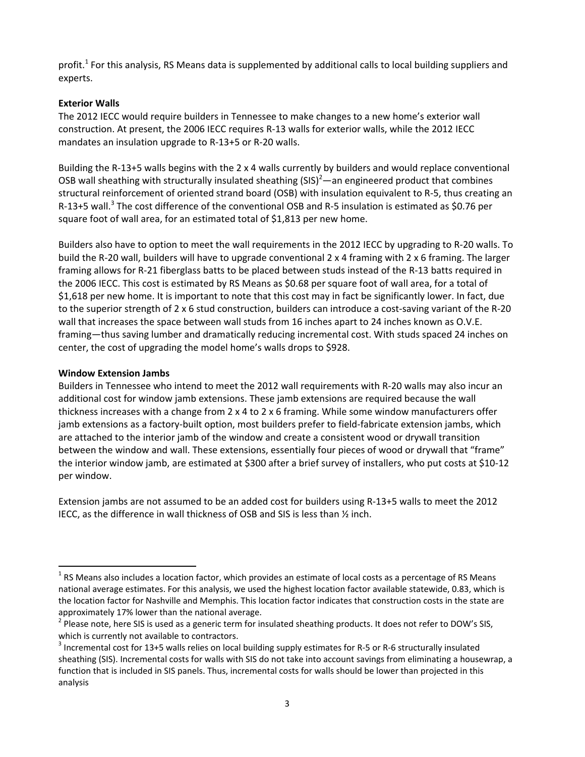profit.<sup>1</sup> For this analysis, RS Means data is supplemented by additional calls to local building suppliers and experts.

# **Exterior Walls**

The 2012 IECC would require builders in Tennessee to make changes to a new home's exterior wall construction. At present, the 2006 IECC requires R‐13 walls for exterior walls, while the 2012 IECC mandates an insulation upgrade to R‐13+5 or R‐20 walls.

Building the R‐13+5 walls begins with the 2 x 4 walls currently by builders and would replace conventional OSB wall sheathing with structurally insulated sheathing  $(SIS)^2$ —an engineered product that combines structural reinforcement of oriented strand board (OSB) with insulation equivalent to R‐5, thus creating an R-13+5 wall.<sup>3</sup> The cost difference of the conventional OSB and R-5 insulation is estimated as \$0.76 per square foot of wall area, for an estimated total of \$1,813 per new home.

Builders also have to option to meet the wall requirements in the 2012 IECC by upgrading to R‐20 walls. To build the R‐20 wall, builders will have to upgrade conventional 2 x 4 framing with 2 x 6 framing. The larger framing allows for R‐21 fiberglass batts to be placed between studs instead of the R‐13 batts required in the 2006 IECC. This cost is estimated by RS Means as \$0.68 per square foot of wall area, for a total of \$1,618 per new home. It is important to note that this cost may in fact be significantly lower. In fact, due to the superior strength of 2 x 6 stud construction, builders can introduce a cost-saving variant of the R-20 wall that increases the space between wall studs from 16 inches apart to 24 inches known as O.V.E. framing—thus saving lumber and dramatically reducing incremental cost. With studs spaced 24 inches on center, the cost of upgrading the model home's walls drops to \$928.

# **Window Extension Jambs**

 $\overline{a}$ 

Builders in Tennessee who intend to meet the 2012 wall requirements with R‐20 walls may also incur an additional cost for window jamb extensions. These jamb extensions are required because the wall thickness increases with a change from 2 x 4 to 2 x 6 framing. While some window manufacturers offer jamb extensions as a factory-built option, most builders prefer to field-fabricate extension jambs, which are attached to the interior jamb of the window and create a consistent wood or drywall transition between the window and wall. These extensions, essentially four pieces of wood or drywall that "frame" the interior window jamb, are estimated at \$300 after a brief survey of installers, who put costs at \$10‐12 per window.

Extension jambs are not assumed to be an added cost for builders using R‐13+5 walls to meet the 2012 IECC, as the difference in wall thickness of OSB and SIS is less than ½ inch.

 $1$  RS Means also includes a location factor, which provides an estimate of local costs as a percentage of RS Means national average estimates. For this analysis, we used the highest location factor available statewide, 0.83, which is the location factor for Nashville and Memphis. This location factor indicates that construction costs in the state are

approximately 17% lower than the national average.<br><sup>2</sup> Please note, here SIS is used as a generic term for insulated sheathing products. It does not refer to DOW's SIS, which is currently not available to contractors.<br><sup>3</sup> Incremental cost for 13+5 walls relies on local building supply estimates for R-5 or R-6 structurally insulated

sheathing (SIS). Incremental costs for walls with SIS do not take into account savings from eliminating a housewrap, a function that is included in SIS panels. Thus, incremental costs for walls should be lower than projected in this analysis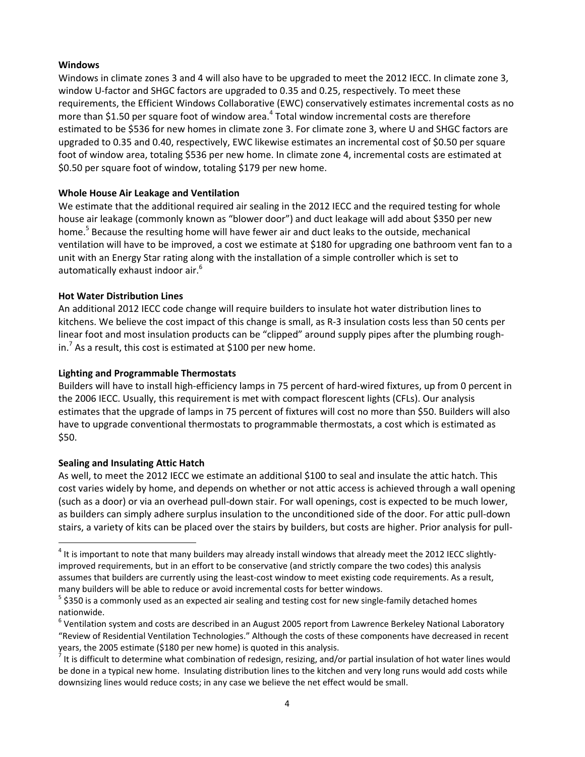# **Windows**

Windows in climate zones 3 and 4 will also have to be upgraded to meet the 2012 IECC. In climate zone 3, window U‐factor and SHGC factors are upgraded to 0.35 and 0.25, respectively. To meet these requirements, the Efficient Windows Collaborative (EWC) conservatively estimates incremental costs as no more than \$1.50 per square foot of window area.<sup>4</sup> Total window incremental costs are therefore estimated to be \$536 for new homes in climate zone 3. For climate zone 3, where U and SHGC factors are upgraded to 0.35 and 0.40, respectively, EWC likewise estimates an incremental cost of \$0.50 per square foot of window area, totaling \$536 per new home. In climate zone 4, incremental costs are estimated at \$0.50 per square foot of window, totaling \$179 per new home.

# **Whole House Air Leakage and Ventilation**

We estimate that the additional required air sealing in the 2012 IECC and the required testing for whole house air leakage (commonly known as "blower door") and duct leakage will add about \$350 per new home.<sup>5</sup> Because the resulting home will have fewer air and duct leaks to the outside, mechanical ventilation will have to be improved, a cost we estimate at \$180 for upgrading one bathroom vent fan to a unit with an Energy Star rating along with the installation of a simple controller which is set to automatically exhaust indoor air.<sup>6</sup>

#### **Hot Water Distribution Lines**

An additional 2012 IECC code change will require builders to insulate hot water distribution lines to kitchens. We believe the cost impact of this change is small, as R‐3 insulation costs less than 50 cents per linear foot and most insulation products can be "clipped" around supply pipes after the plumbing rough‐ in.<sup>7</sup> As a result, this cost is estimated at \$100 per new home.

#### **Lighting and Programmable Thermostats**

Builders will have to install high‐efficiency lamps in 75 percent of hard‐wired fixtures, up from 0 percent in the 2006 IECC. Usually, this requirement is met with compact florescent lights (CFLs). Our analysis estimates that the upgrade of lamps in 75 percent of fixtures will cost no more than \$50. Builders will also have to upgrade conventional thermostats to programmable thermostats, a cost which is estimated as \$50.

# **Sealing and Insulating Attic Hatch**

 $\overline{a}$ 

As well, to meet the 2012 IECC we estimate an additional \$100 to seal and insulate the attic hatch. This cost varies widely by home, and depends on whether or not attic access is achieved through a wall opening (such as a door) or via an overhead pull‐down stair. For wall openings, cost is expected to be much lower, as builders can simply adhere surplus insulation to the unconditioned side of the door. For attic pull‐down stairs, a variety of kits can be placed over the stairs by builders, but costs are higher. Prior analysis for pull‐

 $4$  It is important to note that many builders may already install windows that already meet the 2012 IECC slightlyimproved requirements, but in an effort to be conservative (and strictly compare the two codes) this analysis assumes that builders are currently using the least‐cost window to meet existing code requirements. As a result, many builders will be able to reduce or avoid incremental costs for better windows.<br>  $5$  \$350 is a commonly used as an expected air sealing and testing cost for new single-family detached homes

nationwide.

 $<sup>6</sup>$  Ventilation system and costs are described in an August 2005 report from Lawrence Berkeley National Laboratory</sup> "Review of Residential Ventilation Technologies." Although the costs of these components have decreased in recent years, the 2005 estimate (\$180 per new home) is quoted in this analysis.<br><sup>7</sup> It is difficult to determine what combination of redesign, resizing, and/or partial insulation of hot water lines would

be done in a typical new home. Insulating distribution lines to the kitchen and very long runs would add costs while downsizing lines would reduce costs; in any case we believe the net effect would be small.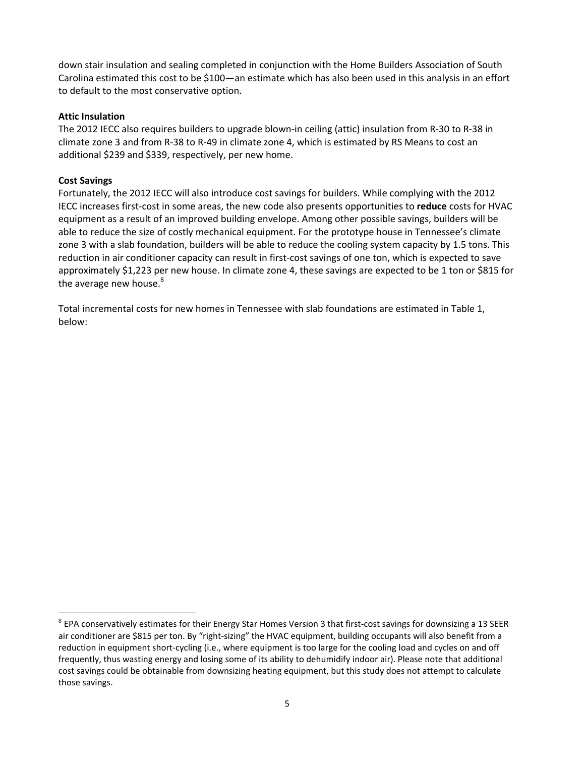down stair insulation and sealing completed in conjunction with the Home Builders Association of South Carolina estimated this cost to be \$100—an estimate which has also been used in this analysis in an effort to default to the most conservative option.

# **Attic Insulation**

The 2012 IECC also requires builders to upgrade blown-in ceiling (attic) insulation from R-30 to R-38 in climate zone 3 and from R‐38 to R‐49 in climate zone 4, which is estimated by RS Means to cost an additional \$239 and \$339, respectively, per new home.

#### **Cost Savings**

 $\overline{a}$ 

Fortunately, the 2012 IECC will also introduce cost savings for builders. While complying with the 2012 IECC increases first‐cost in some areas, the new code also presents opportunities to **reduce** costs for HVAC equipment as a result of an improved building envelope. Among other possible savings, builders will be able to reduce the size of costly mechanical equipment. For the prototype house in Tennessee's climate zone 3 with a slab foundation, builders will be able to reduce the cooling system capacity by 1.5 tons. This reduction in air conditioner capacity can result in first-cost savings of one ton, which is expected to save approximately \$1,223 per new house. In climate zone 4, these savings are expected to be 1 ton or \$815 for the average new house.<sup>8</sup>

Total incremental costs for new homes in Tennessee with slab foundations are estimated in Table 1, below:

 $8$  EPA conservatively estimates for their Energy Star Homes Version 3 that first-cost savings for downsizing a 13 SEER air conditioner are \$815 per ton. By "right-sizing" the HVAC equipment, building occupants will also benefit from a reduction in equipment short‐cycling (i.e., where equipment is too large for the cooling load and cycles on and off frequently, thus wasting energy and losing some of its ability to dehumidify indoor air). Please note that additional cost savings could be obtainable from downsizing heating equipment, but this study does not attempt to calculate those savings.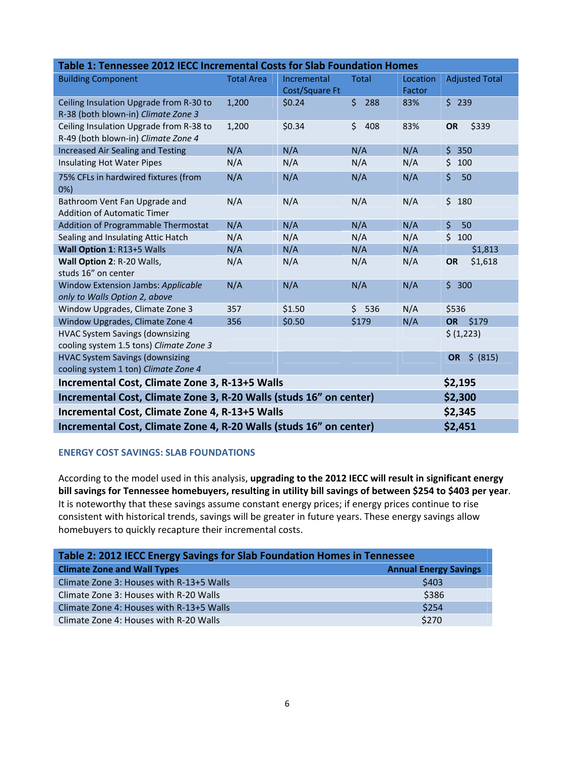| Table 1: Tennessee 2012 IECC Incremental Costs for Slab Foundation Homes       |                                                                               |                |            |          |                       |  |
|--------------------------------------------------------------------------------|-------------------------------------------------------------------------------|----------------|------------|----------|-----------------------|--|
| <b>Building Component</b>                                                      | <b>Total Area</b>                                                             | Incremental    | Total      | Location | <b>Adjusted Total</b> |  |
|                                                                                |                                                                               | Cost/Square Ft |            | Factor   |                       |  |
| Ceiling Insulation Upgrade from R-30 to                                        | 1,200                                                                         | \$0.24         | \$<br>288  | 83%      | \$239                 |  |
| R-38 (both blown-in) Climate Zone 3                                            |                                                                               |                |            |          |                       |  |
| Ceiling Insulation Upgrade from R-38 to<br>R-49 (both blown-in) Climate Zone 4 | 1,200                                                                         | \$0.34         | \$<br>408  | 83%      | \$339<br>OR           |  |
| <b>Increased Air Sealing and Testing</b>                                       | N/A                                                                           | N/A            | N/A        | N/A      | $\zeta$<br>350        |  |
| <b>Insulating Hot Water Pipes</b>                                              | N/A                                                                           | N/A            | N/A        | N/A      | \$<br>100             |  |
| 75% CFLs in hardwired fixtures (from                                           | N/A                                                                           | N/A            | N/A        | N/A      | \$<br>50              |  |
| 0%                                                                             |                                                                               |                |            |          |                       |  |
| Bathroom Vent Fan Upgrade and<br><b>Addition of Automatic Timer</b>            | N/A                                                                           | N/A            | N/A        | N/A      | \$<br>180             |  |
| Addition of Programmable Thermostat                                            | N/A                                                                           | N/A            | N/A        | N/A      | $\zeta$<br>50         |  |
| Sealing and Insulating Attic Hatch                                             | N/A                                                                           | N/A            | N/A        | N/A      | \$100                 |  |
| Wall Option 1: R13+5 Walls                                                     | N/A                                                                           | N/A            | N/A        | N/A      | \$1,813               |  |
| Wall Option 2: R-20 Walls,                                                     | N/A                                                                           | N/A            | N/A        | N/A      | OR<br>\$1,618         |  |
| studs 16" on center                                                            |                                                                               |                |            |          |                       |  |
| <b>Window Extension Jambs: Applicable</b>                                      | N/A                                                                           | N/A            | N/A        | N/A      | \$300                 |  |
| only to Walls Option 2, above                                                  |                                                                               |                |            |          |                       |  |
| Window Upgrades, Climate Zone 3                                                | 357                                                                           | \$1.50         | \$.<br>536 | N/A      | \$536                 |  |
| Window Upgrades, Climate Zone 4                                                | 356                                                                           | \$0.50         | \$179      | N/A      | \$179<br><b>OR</b>    |  |
| <b>HVAC System Savings (downsizing</b>                                         |                                                                               |                |            |          | \$ (1,223)            |  |
| cooling system 1.5 tons) Climate Zone 3                                        |                                                                               |                |            |          |                       |  |
| <b>HVAC System Savings (downsizing</b>                                         |                                                                               |                |            |          | \$ (815)<br><b>OR</b> |  |
| cooling system 1 ton) Climate Zone 4                                           |                                                                               |                |            |          |                       |  |
| \$2,195<br>Incremental Cost, Climate Zone 3, R-13+5 Walls                      |                                                                               |                |            |          |                       |  |
| Incremental Cost, Climate Zone 3, R-20 Walls (studs 16" on center)<br>\$2,300  |                                                                               |                |            |          |                       |  |
| Incremental Cost, Climate Zone 4, R-13+5 Walls<br>\$2,345                      |                                                                               |                |            |          |                       |  |
|                                                                                | \$2,451<br>Incremental Cost, Climate Zone 4, R-20 Walls (studs 16" on center) |                |            |          |                       |  |

# **ENERGY COST SAVINGS: SLAB FOUNDATIONS**

According to the model used in this analysis, **upgrading to the 2012 IECC will result in significant energy** bill savings for Tennessee homebuyers, resulting in utility bill savings of between \$254 to \$403 per year. It is noteworthy that these savings assume constant energy prices; if energy prices continue to rise consistent with historical trends, savings will be greater in future years. These energy savings allow homebuyers to quickly recapture their incremental costs.

| Table 2: 2012 IECC Energy Savings for Slab Foundation Homes in Tennessee |                              |  |  |  |  |  |
|--------------------------------------------------------------------------|------------------------------|--|--|--|--|--|
| <b>Climate Zone and Wall Types</b>                                       | <b>Annual Energy Savings</b> |  |  |  |  |  |
| Climate Zone 3: Houses with R-13+5 Walls                                 | \$403                        |  |  |  |  |  |
| Climate Zone 3: Houses with R-20 Walls                                   | \$386                        |  |  |  |  |  |
| Climate Zone 4: Houses with R-13+5 Walls                                 | \$254                        |  |  |  |  |  |
| Climate Zone 4: Houses with R-20 Walls                                   | \$270                        |  |  |  |  |  |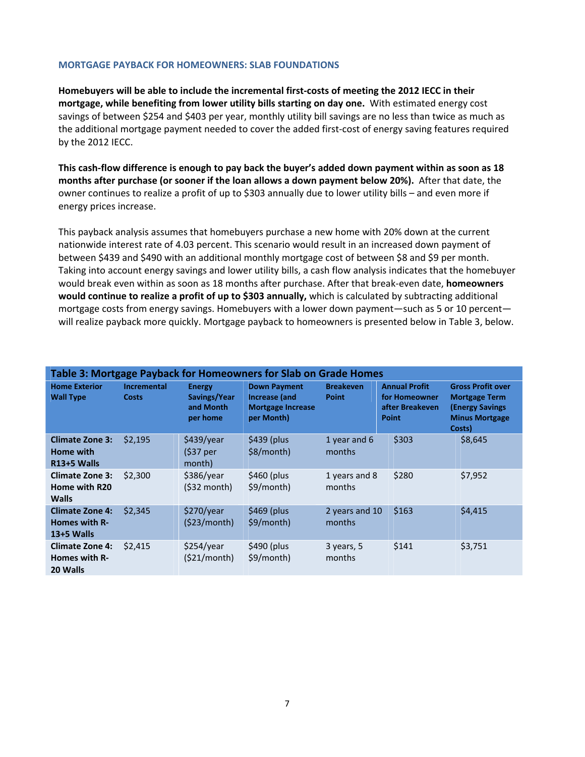#### **MORTGAGE PAYBACK FOR HOMEOWNERS: SLAB FOUNDATIONS**

**Homebuyers will be able to include the incremental first‐costs of meeting the 2012 IECC in their mortgage, while benefiting from lower utility bills starting on day one.** With estimated energy cost savings of between \$254 and \$403 per year, monthly utility bill savings are no less than twice as much as the additional mortgage payment needed to cover the added first‐cost of energy saving features required by the 2012 IECC.

This cash-flow difference is enough to pay back the buyer's added down payment within as soon as 18 **months after purchase (or sooner if the loan allows a down payment below 20%).** After that date, the owner continues to realize a profit of up to \$303 annually due to lower utility bills – and even more if energy prices increase.

This payback analysis assumes that homebuyers purchase a new home with 20% down at the current nationwide interest rate of 4.03 percent. This scenario would result in an increased down payment of between \$439 and \$490 with an additional monthly mortgage cost of between \$8 and \$9 per month. Taking into account energy savings and lower utility bills, a cash flow analysis indicates that the homebuyer would break even within as soon as 18 months after purchase. After that break‐even date, **homeowners would continue to realize a profit of up to \$303 annually,** which is calculated by subtracting additional mortgage costs from energy savings. Homebuyers with a lower down payment—such as 5 or 10 percent will realize payback more quickly. Mortgage payback to homeowners is presented below in Table 3, below.

| Table 3: Mortgage Payback for Homeowners for Slab on Grade Homes |                                    |                                                        |                                                                                |                                  |                                                                          |                                                                                                               |
|------------------------------------------------------------------|------------------------------------|--------------------------------------------------------|--------------------------------------------------------------------------------|----------------------------------|--------------------------------------------------------------------------|---------------------------------------------------------------------------------------------------------------|
| <b>Home Exterior</b><br><b>Wall Type</b>                         | <b>Incremental</b><br><b>Costs</b> | <b>Energy</b><br>Savings/Year<br>and Month<br>per home | <b>Down Payment</b><br>Increase (and<br><b>Mortgage Increase</b><br>per Month) | <b>Breakeven</b><br><b>Point</b> | <b>Annual Profit</b><br>for Homeowner<br>after Breakeven<br><b>Point</b> | <b>Gross Profit over</b><br><b>Mortgage Term</b><br><b>(Energy Savings</b><br><b>Minus Mortgage</b><br>Costs) |
| <b>Climate Zone 3:</b><br>Home with<br>R <sub>13+5</sub> Walls   | \$2,195                            | \$439/year<br>(\$37 per<br>month)                      | $$439$ (plus<br>\$8/month)                                                     | 1 year and 6<br>months           | \$303                                                                    | \$8,645                                                                                                       |
| <b>Climate Zone 3:</b><br>Home with R20<br><b>Walls</b>          | \$2,300                            | \$386/year<br>$(532$ month)                            | $$460$ (plus<br>\$9/month)                                                     | 1 years and 8<br>months          | \$280                                                                    | \$7,952                                                                                                       |
| <b>Climate Zone 4:</b><br><b>Homes with R-</b><br>13+5 Walls     | \$2,345                            | \$270/year<br>(\$23/month)                             | $$469$ (plus<br>\$9/month)                                                     | 2 years and 10<br>months         | \$163                                                                    | \$4,415                                                                                                       |
| <b>Climate Zone 4:</b><br>Homes with R-<br>20 Walls              | \$2,415                            | \$254/year<br>(\$21/month)                             | $$490$ (plus<br>\$9/month)                                                     | 3 years, 5<br>months             | \$141                                                                    | \$3,751                                                                                                       |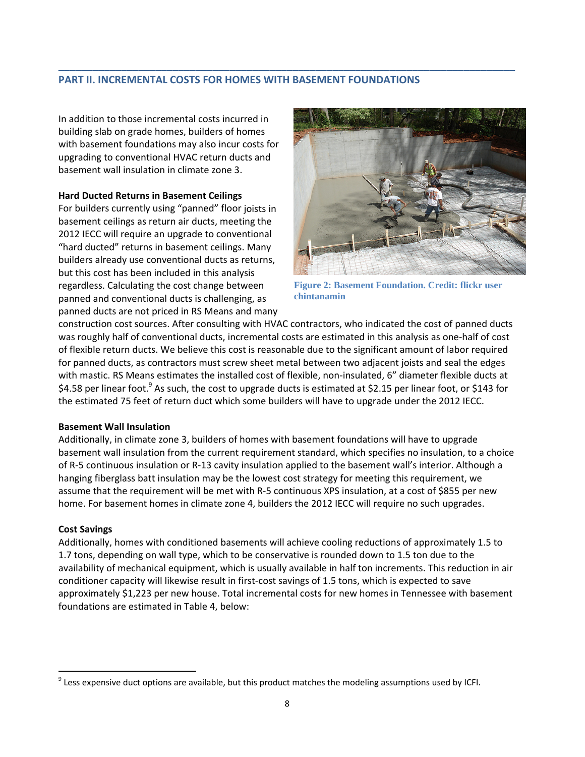# **PART II. INCREMENTAL COSTS FOR HOMES WITH BASEMENT FOUNDATIONS**

**\_\_\_\_\_\_\_\_\_\_\_\_\_\_\_\_\_\_\_\_\_\_\_\_\_\_\_\_\_\_\_\_\_\_\_\_\_\_\_\_\_\_\_\_\_\_\_\_\_\_\_\_\_\_\_\_\_\_\_\_\_\_\_\_\_\_\_\_\_\_\_\_\_\_\_\_\_\_\_\_**

In addition to those incremental costs incurred in building slab on grade homes, builders of homes with basement foundations may also incur costs for upgrading to conventional HVAC return ducts and basement wall insulation in climate zone 3.

#### **Hard Ducted Returns in Basement Ceilings**

For builders currently using "panned" floor joists in basement ceilings as return air ducts, meeting the 2012 IECC will require an upgrade to conventional "hard ducted" returns in basement ceilings. Many builders already use conventional ducts as returns, but this cost has been included in this analysis regardless. Calculating the cost change between panned and conventional ducts is challenging, as panned ducts are not priced in RS Means and many



**Figure 2: Basement Foundation. Credit: flickr user chintanamin**

construction cost sources. After consulting with HVAC contractors, who indicated the cost of panned ducts was roughly half of conventional ducts, incremental costs are estimated in this analysis as one-half of cost of flexible return ducts. We believe this cost is reasonable due to the significant amount of labor required for panned ducts, as contractors must screw sheet metal between two adjacent joists and seal the edges with mastic. RS Means estimates the installed cost of flexible, non-insulated, 6" diameter flexible ducts at \$4.58 per linear foot.<sup>9</sup> As such, the cost to upgrade ducts is estimated at \$2.15 per linear foot, or \$143 for the estimated 75 feet of return duct which some builders will have to upgrade under the 2012 IECC.

#### **Basement Wall Insulation**

Additionally, in climate zone 3, builders of homes with basement foundations will have to upgrade basement wall insulation from the current requirement standard, which specifies no insulation, to a choice of R‐5 continuous insulation or R‐13 cavity insulation applied to the basement wall's interior. Although a hanging fiberglass batt insulation may be the lowest cost strategy for meeting this requirement, we assume that the requirement will be met with R‐5 continuous XPS insulation, at a cost of \$855 per new home. For basement homes in climate zone 4, builders the 2012 IECC will require no such upgrades.

#### **Cost Savings**

 $\overline{a}$ 

Additionally, homes with conditioned basements will achieve cooling reductions of approximately 1.5 to 1.7 tons, depending on wall type, which to be conservative is rounded down to 1.5 ton due to the availability of mechanical equipment, which is usually available in half ton increments. This reduction in air conditioner capacity will likewise result in first-cost savings of 1.5 tons, which is expected to save approximately \$1,223 per new house. Total incremental costs for new homes in Tennessee with basement foundations are estimated in Table 4, below:

 $9$  Less expensive duct options are available, but this product matches the modeling assumptions used by ICFI.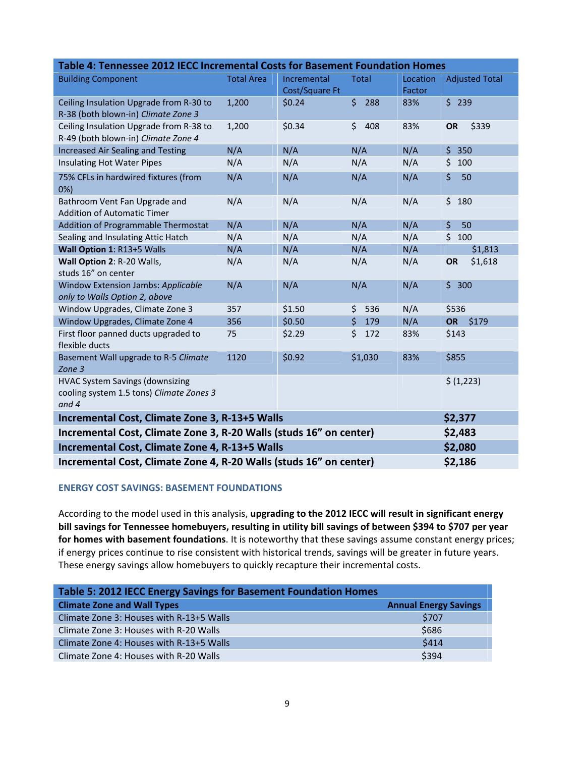| Table 4: Tennessee 2012 IECC Incremental Costs for Basement Foundation Homes   |                   |                |           |          |                       |  |
|--------------------------------------------------------------------------------|-------------------|----------------|-----------|----------|-----------------------|--|
| <b>Building Component</b>                                                      | <b>Total Area</b> | Incremental    | Total     | Location | <b>Adjusted Total</b> |  |
|                                                                                |                   | Cost/Square Ft |           | Factor   |                       |  |
| Ceiling Insulation Upgrade from R-30 to                                        | 1,200             | \$0.24         | \$288     | 83%      | \$239                 |  |
| R-38 (both blown-in) Climate Zone 3                                            |                   |                |           |          |                       |  |
| Ceiling Insulation Upgrade from R-38 to<br>R-49 (both blown-in) Climate Zone 4 | 1,200             | \$0.34         | \$<br>408 | 83%      | \$339<br>OR           |  |
| <b>Increased Air Sealing and Testing</b>                                       | N/A               | N/A            | N/A       | N/A      | \$<br>350             |  |
| Insulating Hot Water Pipes                                                     | N/A               | N/A            | N/A       | N/A      | \$<br>100             |  |
| 75% CFLs in hardwired fixtures (from<br>0%                                     | N/A               | N/A            | N/A       | N/A      | \$<br>50              |  |
| Bathroom Vent Fan Upgrade and<br><b>Addition of Automatic Timer</b>            | N/A               | N/A            | N/A       | N/A      | \$<br>180             |  |
| Addition of Programmable Thermostat                                            | N/A               | N/A            | N/A       | N/A      | $\zeta$<br>50         |  |
| Sealing and Insulating Attic Hatch                                             | N/A               | N/A            | N/A       | N/A      | $\zeta$<br>100        |  |
| Wall Option 1: R13+5 Walls                                                     | N/A               | N/A            | N/A       | N/A      | \$1,813               |  |
| Wall Option 2: R-20 Walls,                                                     | N/A               | N/A            | N/A       | N/A      | \$1,618<br><b>OR</b>  |  |
| studs 16" on center                                                            |                   |                |           |          |                       |  |
| Window Extension Jambs: Applicable                                             | N/A               | N/A            | N/A       | N/A      | \$300                 |  |
| only to Walls Option 2, above                                                  |                   |                |           |          |                       |  |
| Window Upgrades, Climate Zone 3                                                | 357               | \$1.50         | \$<br>536 | N/A      | \$536                 |  |
| Window Upgrades, Climate Zone 4                                                | 356               | \$0.50         | \$<br>179 | N/A      | \$179<br><b>OR</b>    |  |
| First floor panned ducts upgraded to<br>flexible ducts                         | 75                | \$2.29         | \$<br>172 | 83%      | \$143                 |  |
| Basement Wall upgrade to R-5 Climate<br>Zone 3                                 | 1120              | \$0.92         | \$1,030   | 83%      | \$855                 |  |
| <b>HVAC System Savings (downsizing</b>                                         |                   |                |           |          | \$ (1,223)            |  |
| cooling system 1.5 tons) Climate Zones 3                                       |                   |                |           |          |                       |  |
| and 4                                                                          |                   |                |           |          |                       |  |
| Incremental Cost, Climate Zone 3, R-13+5 Walls<br>\$2,377                      |                   |                |           |          |                       |  |
| Incremental Cost, Climate Zone 3, R-20 Walls (studs 16" on center)<br>\$2,483  |                   |                |           |          |                       |  |
| Incremental Cost, Climate Zone 4, R-13+5 Walls<br>\$2,080                      |                   |                |           |          |                       |  |
| Incremental Cost, Climate Zone 4, R-20 Walls (studs 16" on center)<br>\$2,186  |                   |                |           |          |                       |  |

# **ENERGY COST SAVINGS: BASEMENT FOUNDATIONS**

According to the model used in this analysis, **upgrading to the 2012 IECC will result in significant energy bill savings for Tennessee homebuyers, resulting in utility bill savings of between \$394 to \$707 per year for homes with basement foundations**. It is noteworthy that these savings assume constant energy prices; if energy prices continue to rise consistent with historical trends, savings will be greater in future years. These energy savings allow homebuyers to quickly recapture their incremental costs.

| Table 5: 2012 IECC Energy Savings for Basement Foundation Homes |                              |  |  |  |  |
|-----------------------------------------------------------------|------------------------------|--|--|--|--|
| <b>Climate Zone and Wall Types</b>                              | <b>Annual Energy Savings</b> |  |  |  |  |
| Climate Zone 3: Houses with R-13+5 Walls                        | \$707                        |  |  |  |  |
| Climate Zone 3: Houses with R-20 Walls                          | \$686                        |  |  |  |  |
| Climate Zone 4: Houses with R-13+5 Walls                        | \$414                        |  |  |  |  |
| Climate Zone 4: Houses with R-20 Walls                          | \$394                        |  |  |  |  |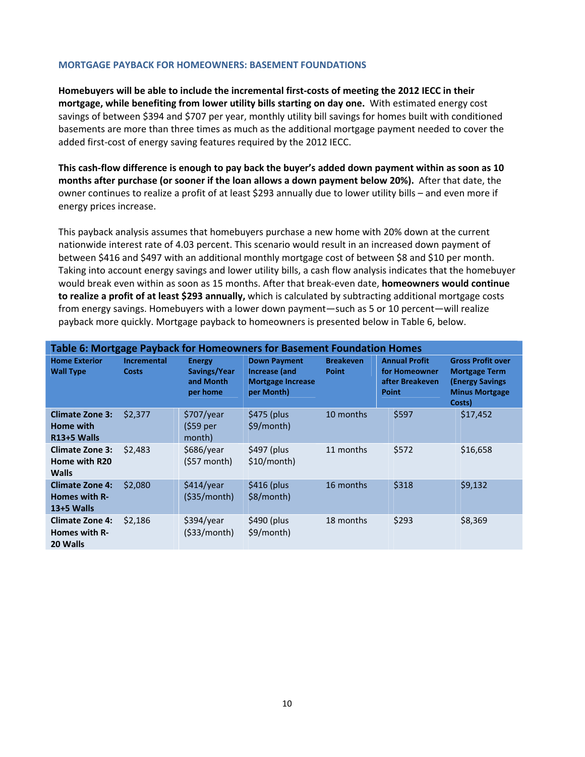#### **MORTGAGE PAYBACK FOR HOMEOWNERS: BASEMENT FOUNDATIONS**

**Homebuyers will be able to include the incremental first‐costs of meeting the 2012 IECC in their mortgage, while benefiting from lower utility bills starting on day one.** With estimated energy cost savings of between \$394 and \$707 per year, monthly utility bill savings for homes built with conditioned basements are more than three times as much as the additional mortgage payment needed to cover the added first-cost of energy saving features required by the 2012 IECC.

This cash-flow difference is enough to pay back the buyer's added down payment within as soon as 10 **months after purchase (or sooner if the loan allows a down payment below 20%).** After that date, the owner continues to realize a profit of at least \$293 annually due to lower utility bills – and even more if energy prices increase.

This payback analysis assumes that homebuyers purchase a new home with 20% down at the current nationwide interest rate of 4.03 percent. This scenario would result in an increased down payment of between \$416 and \$497 with an additional monthly mortgage cost of between \$8 and \$10 per month. Taking into account energy savings and lower utility bills, a cash flow analysis indicates that the homebuyer would break even within as soon as 15 months. After that break‐even date, **homeowners would continue to realize a profit of at least \$293 annually,** which is calculated by subtracting additional mortgage costs from energy savings. Homebuyers with a lower down payment—such as 5 or 10 percent—will realize payback more quickly. Mortgage payback to homeowners is presented below in Table 6, below.

| Table 6: Mortgage Payback for Homeowners for Basement Foundation Homes |                                    |                                                        |                                                                                |                                  |                                                                          |                                                                                                               |
|------------------------------------------------------------------------|------------------------------------|--------------------------------------------------------|--------------------------------------------------------------------------------|----------------------------------|--------------------------------------------------------------------------|---------------------------------------------------------------------------------------------------------------|
| <b>Home Exterior</b><br><b>Wall Type</b>                               | <b>Incremental</b><br><b>Costs</b> | <b>Energy</b><br>Savings/Year<br>and Month<br>per home | <b>Down Payment</b><br>Increase (and<br><b>Mortgage Increase</b><br>per Month) | <b>Breakeven</b><br><b>Point</b> | <b>Annual Profit</b><br>for Homeowner<br>after Breakeven<br><b>Point</b> | <b>Gross Profit over</b><br><b>Mortgage Term</b><br><b>(Energy Savings</b><br><b>Minus Mortgage</b><br>Costs) |
| <b>Climate Zone 3:</b><br>Home with<br>R13+5 Walls                     | \$2,377                            | \$707/year<br>(\$59 per<br>month)                      | $$475$ (plus<br>\$9/month)                                                     | 10 months                        | \$597                                                                    | \$17,452                                                                                                      |
| <b>Climate Zone 3:</b><br>Home with R20<br><b>Walls</b>                | \$2,483                            | \$686/year<br>$(557$ month)                            | $$497$ (plus<br>\$10/month)                                                    | 11 months                        | \$572                                                                    | \$16,658                                                                                                      |
| <b>Climate Zone 4:</b><br>Homes with R-<br>$13+5$ Walls                | \$2,080                            | \$414/year<br>(535/month)                              | $$416$ (plus<br>\$8/month)                                                     | 16 months                        | \$318                                                                    | \$9,132                                                                                                       |
| <b>Climate Zone 4:</b><br><b>Homes with R-</b><br>20 Walls             | \$2,186                            | \$394/year<br>(533/month)                              | $$490$ (plus<br>\$9/month)                                                     | 18 months                        | \$293                                                                    | \$8,369                                                                                                       |